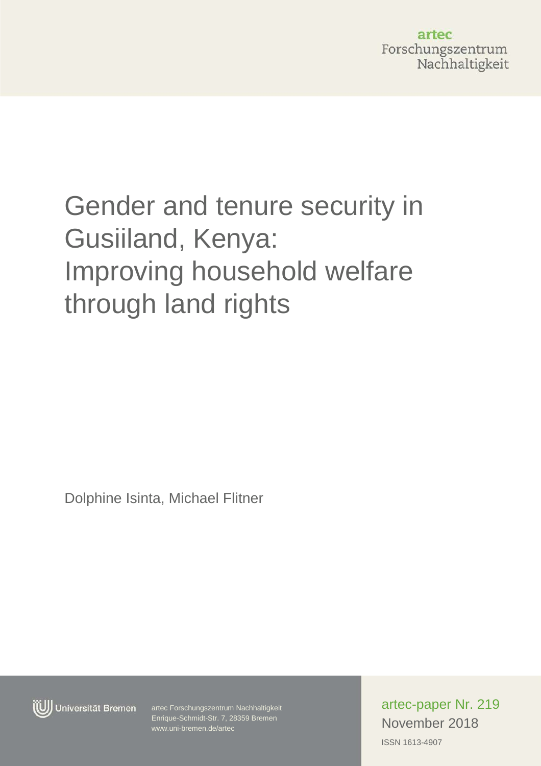artec Forschungszentrum Nachhaltigkeit

# Gender and tenure security in Gusiiland, Kenya: Improving household welfare through land rights

Dolphine Isinta, Michael Flitner



Enrique-Schmidt-Str. 7, 28359 Bremen Enrique-Schmidt-Str. 7, 28359 Bremen artec Forschungszentrum Nachhaltigkeit www.uni-bremen.de/artec

ISSN 1613-4907 artec-paper Nr. 219 November 2018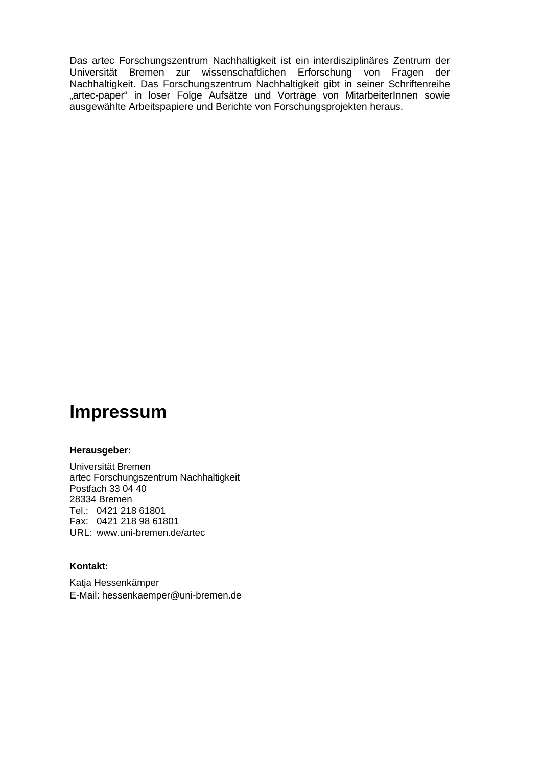Das artec Forschungszentrum Nachhaltigkeit ist ein interdisziplinäres Zentrum der Universität Bremen zur wissenschaftlichen Erforschung von Fragen der Nachhaltigkeit. Das Forschungszentrum Nachhaltigkeit gibt in seiner Schriftenreihe "artec-paper" in loser Folge Aufsätze und Vorträge von MitarbeiterInnen sowie ausgewählte Arbeitspapiere und Berichte von Forschungsprojekten heraus.

## **Impressum**

#### **Herausgeber:**

Universität Bremen artec Forschungszentrum Nachhaltigkeit Postfach 33 04 40 28334 Bremen Tel.: 0421 218 61801 Fax: 0421 218 98 61801 URL: [www.uni-bremen.de/](http://www.uni-bremen.de/)artec

#### **Kontakt:**

Katja Hessenkämper E-Mail: hessenkaemper@uni-bremen.de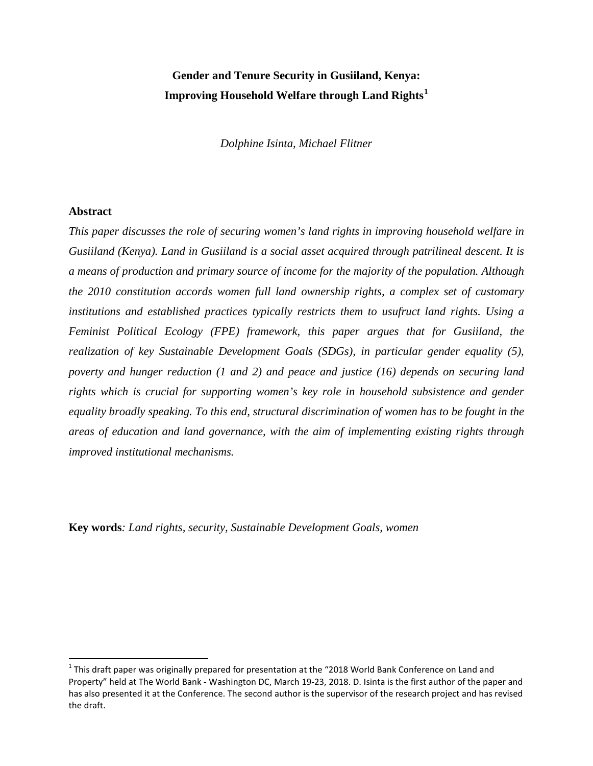### **Gender and Tenure Security in Gusiiland, Kenya: Improving Household Welfare through Land Rights[1](#page-2-0)**

*Dolphine Isinta, Michael Flitner*

#### **Abstract**

*This paper discusses the role of securing women's land rights in improving household welfare in Gusiiland (Kenya). Land in Gusiiland is a social asset acquired through patrilineal descent. It is a means of production and primary source of income for the majority of the population. Although the 2010 constitution accords women full land ownership rights, a complex set of customary institutions and established practices typically restricts them to usufruct land rights. Using a Feminist Political Ecology (FPE) framework, this paper argues that for Gusiiland, the realization of key Sustainable Development Goals (SDGs), in particular gender equality (5), poverty and hunger reduction (1 and 2) and peace and justice (16) depends on securing land rights which is crucial for supporting women's key role in household subsistence and gender equality broadly speaking. To this end, structural discrimination of women has to be fought in the areas of education and land governance, with the aim of implementing existing rights through improved institutional mechanisms.*

**Key words***: Land rights, security, Sustainable Development Goals, women* 

<span id="page-2-0"></span> $1$  This draft paper was originally prepared for presentation at the "2018 World Bank Conference on Land and Property" held at The World Bank - Washington DC, March 19-23, 2018. D. Isinta is the first author of the paper and has also presented it at the Conference. The second author is the supervisor of the research project and has revised the draft.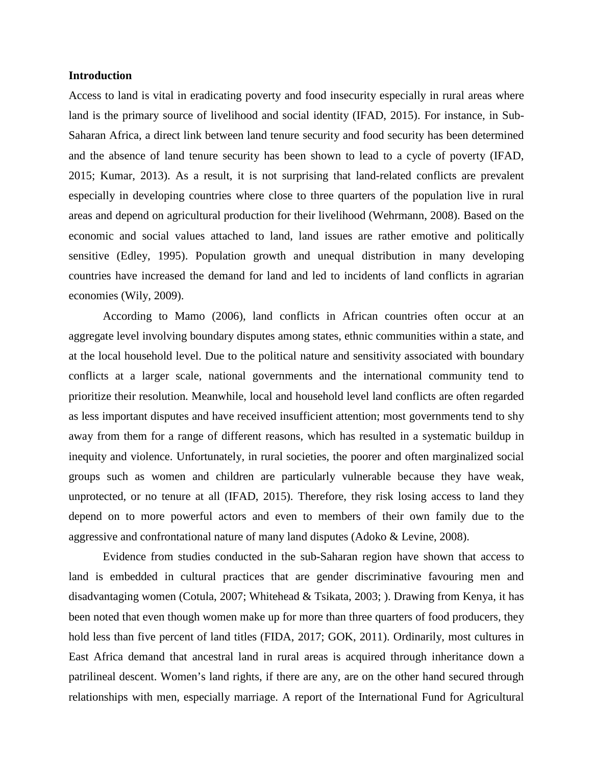#### **Introduction**

Access to land is vital in eradicating poverty and food insecurity especially in rural areas where land is the primary source of livelihood and social identity (IFAD, 2015). For instance, in Sub-Saharan Africa, a direct link between land tenure security and food security has been determined and the absence of land tenure security has been shown to lead to a cycle of poverty (IFAD, 2015; Kumar, 2013). As a result, it is not surprising that land-related conflicts are prevalent especially in developing countries where close to three quarters of the population live in rural areas and depend on agricultural production for their livelihood (Wehrmann, 2008). Based on the economic and social values attached to land, land issues are rather emotive and politically sensitive (Edley, 1995). Population growth and unequal distribution in many developing countries have increased the demand for land and led to incidents of land conflicts in agrarian economies (Wily, 2009).

According to Mamo (2006), land conflicts in African countries often occur at an aggregate level involving boundary disputes among states, ethnic communities within a state, and at the local household level. Due to the political nature and sensitivity associated with boundary conflicts at a larger scale, national governments and the international community tend to prioritize their resolution. Meanwhile, local and household level land conflicts are often regarded as less important disputes and have received insufficient attention; most governments tend to shy away from them for a range of different reasons, which has resulted in a systematic buildup in inequity and violence. Unfortunately, in rural societies, the poorer and often marginalized social groups such as women and children are particularly vulnerable because they have weak, unprotected, or no tenure at all (IFAD, 2015). Therefore, they risk losing access to land they depend on to more powerful actors and even to members of their own family due to the aggressive and confrontational nature of many land disputes (Adoko & Levine, 2008).

Evidence from studies conducted in the sub-Saharan region have shown that access to land is embedded in cultural practices that are gender discriminative favouring men and disadvantaging women (Cotula, 2007; Whitehead & Tsikata, 2003; ). Drawing from Kenya, it has been noted that even though women make up for more than three quarters of food producers, they hold less than five percent of land titles (FIDA, 2017; GOK, 2011). Ordinarily, most cultures in East Africa demand that ancestral land in rural areas is acquired through inheritance down a patrilineal descent. Women's land rights, if there are any, are on the other hand secured through relationships with men, especially marriage. A report of the International Fund for Agricultural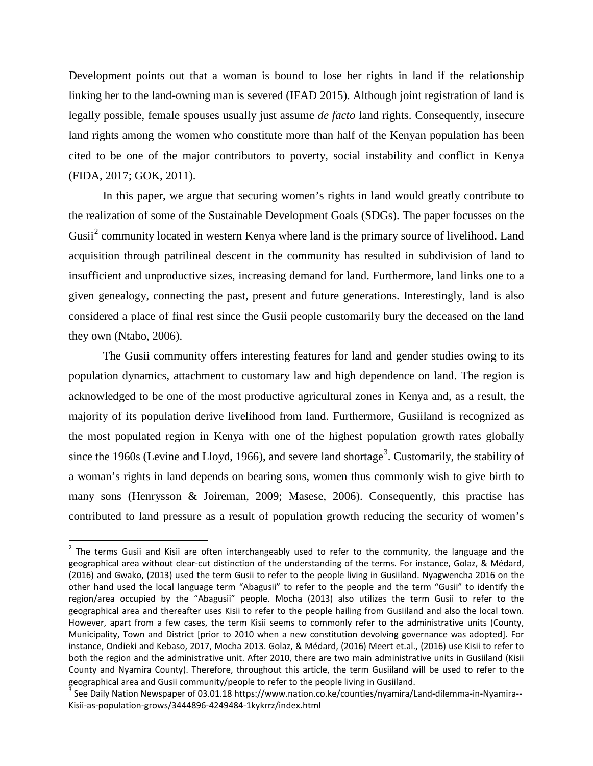Development points out that a woman is bound to lose her rights in land if the relationship linking her to the land-owning man is severed (IFAD 2015). Although joint registration of land is legally possible, female spouses usually just assume *de facto* land rights. Consequently, insecure land rights among the women who constitute more than half of the Kenyan population has been cited to be one of the major contributors to poverty, social instability and conflict in Kenya (FIDA, 2017; GOK, 2011).

In this paper, we argue that securing women's rights in land would greatly contribute to the realization of some of the Sustainable Development Goals (SDGs). The paper focusses on the Gusii<sup>[2](#page-4-0)</sup> community located in western Kenya where land is the primary source of livelihood. Land acquisition through patrilineal descent in the community has resulted in subdivision of land to insufficient and unproductive sizes, increasing demand for land. Furthermore, land links one to a given genealogy, connecting the past, present and future generations. Interestingly, land is also considered a place of final rest since the Gusii people customarily bury the deceased on the land they own (Ntabo, 2006).

The Gusii community offers interesting features for land and gender studies owing to its population dynamics, attachment to customary law and high dependence on land. The region is acknowledged to be one of the most productive agricultural zones in Kenya and, as a result, the majority of its population derive livelihood from land. Furthermore, Gusiiland is recognized as the most populated region in Kenya with one of the highest population growth rates globally since the 1960s (Levine and Lloyd, 1966), and severe land shortage<sup>[3](#page-4-1)</sup>. Customarily, the stability of a woman's rights in land depends on bearing sons, women thus commonly wish to give birth to many sons (Henrysson & Joireman, 2009; Masese, 2006). Consequently, this practise has contributed to land pressure as a result of population growth reducing the security of women's

<span id="page-4-0"></span> $2$  The terms Gusii and Kisii are often interchangeably used to refer to the community, the language and the geographical area without clear-cut distinction of the understanding of the terms. For instance, Golaz, & Médard, (2016) and Gwako, (2013) used the term Gusii to refer to the people living in Gusiiland. Nyagwencha 2016 on the other hand used the local language term "Abagusii" to refer to the people and the term "Gusii" to identify the region/area occupied by the "Abagusii" people. Mocha (2013) also utilizes the term Gusii to refer to the geographical area and thereafter uses Kisii to refer to the people hailing from Gusiiland and also the local town. However, apart from a few cases, the term Kisii seems to commonly refer to the administrative units (County, Municipality, Town and District [prior to 2010 when a new constitution devolving governance was adopted]. For instance, Ondieki and Kebaso, 2017, Mocha 2013. Golaz, & Médard, (2016) Meert et.al., (2016) use Kisii to refer to both the region and the administrative unit. After 2010, there are two main administrative units in Gusiiland (Kisii County and Nyamira County). Therefore, throughout this article, the term Gusiiland will be used to refer to the geographical area and Gusii community/people to refer to the people living in Gusiiland.

<span id="page-4-1"></span><sup>&</sup>lt;sup>3</sup> See Daily Nation Newspaper of 03.01.18 https://www.nation.co.ke/counties/nyamira/Land-dilemma-in-Nyamira--Kisii-as-population-grows/3444896-4249484-1kykrrz/index.html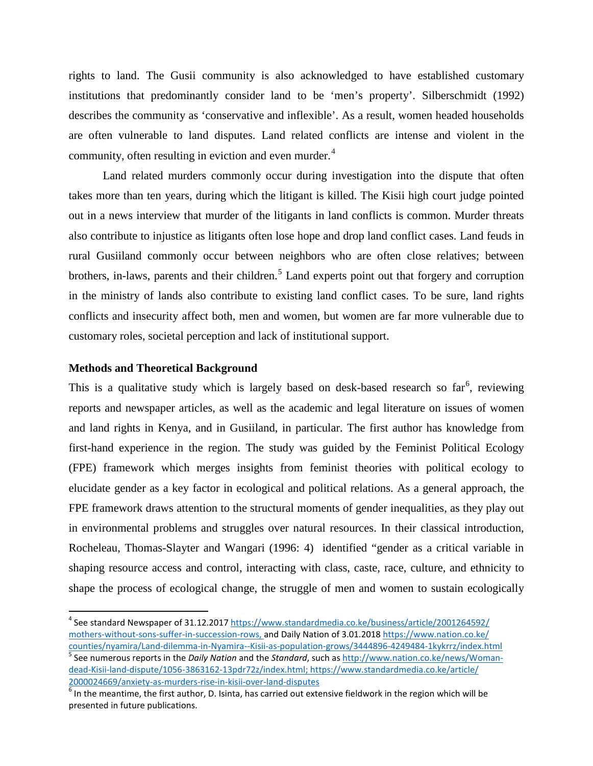rights to land. The Gusii community is also acknowledged to have established customary institutions that predominantly consider land to be 'men's property'. Silberschmidt (1992) describes the community as 'conservative and inflexible'. As a result, women headed households are often vulnerable to land disputes. Land related conflicts are intense and violent in the community, often resulting in eviction and even murder.<sup>[4](#page-5-0)</sup>

Land related murders commonly occur during investigation into the dispute that often takes more than ten years, during which the litigant is killed. The Kisii high court judge pointed out in a news interview that murder of the litigants in land conflicts is common. Murder threats also contribute to injustice as litigants often lose hope and drop land conflict cases. Land feuds in rural Gusiiland commonly occur between neighbors who are often close relatives; between brothers, in-laws, parents and their children.<sup>[5](#page-5-1)</sup> Land experts point out that forgery and corruption in the ministry of lands also contribute to existing land conflict cases. To be sure, land rights conflicts and insecurity affect both, men and women, but women are far more vulnerable due to customary roles, societal perception and lack of institutional support.

#### **Methods and Theoretical Background**

This is a qualitative study which is largely based on desk-based research so  $far<sup>6</sup>$  $far<sup>6</sup>$  $far<sup>6</sup>$ , reviewing reports and newspaper articles, as well as the academic and legal literature on issues of women and land rights in Kenya, and in Gusiiland, in particular. The first author has knowledge from first-hand experience in the region. The study was guided by the Feminist Political Ecology (FPE) framework which merges insights from feminist theories with political ecology to elucidate gender as a key factor in ecological and political relations. As a general approach, the FPE framework draws attention to the structural moments of gender inequalities, as they play out in environmental problems and struggles over natural resources. In their classical introduction, Rocheleau, Thomas-Slayter and Wangari (1996: 4) identified "gender as a critical variable in shaping resource access and control, interacting with class, caste, race, culture, and ethnicity to shape the process of ecological change, the struggle of men and women to sustain ecologically

<span id="page-5-0"></span><sup>&</sup>lt;sup>4</sup> See standard Newspaper of 31.12.201[7 https://www.standardmedia.co.ke/business/article/2001264592/](https://www.standardmedia.co.ke/business/article/2001264592/mothers-without-sons-suffer-in-succession-rows) [mothers-without-sons-suffer-in-succession-rows,](https://www.standardmedia.co.ke/business/article/2001264592/mothers-without-sons-suffer-in-succession-rows) and Daily Nation of 3.01.2018 [https://www.nation.co.ke/](https://www.nation.co.ke/counties/nyamira/Land-dilemma-in-Nyamira--Kisii-as-population-grows/3444896-4249484-1kykrrz/index.html)<br>counties/nyamira/Land-dilemma-in-Nyamira--Kisii-as-population-grows/3444896-4249484-1kykrrz/index.html

<span id="page-5-1"></span><sup>&</sup>lt;sup>5</sup> See numerous reports in the Daily Nation and the Standard, such as [http://www.nation.co.ke/news/Woman](http://www.nation.co.ke/news/Woman-dead-Kisii-land-dispute/1056-3863162-13pdr72z/index.html)[dead-Kisii-land-dispute/1056-3863162-13pdr72z/index.html;](http://www.nation.co.ke/news/Woman-dead-Kisii-land-dispute/1056-3863162-13pdr72z/index.html) [https://www.standardmedia.co.ke/article/](https://www.standardmedia.co.ke/article/2000024669/anxiety-as-murders-rise-in-kisii-over-land-disputes)<br>2000024669/anxiety-as-murders-rise-in-kisii-over-land-disputes

<span id="page-5-2"></span> $^6$  In the meantime, the first author. D. Isinta, has carried out extensive fieldwork in the region which will be presented in future publications.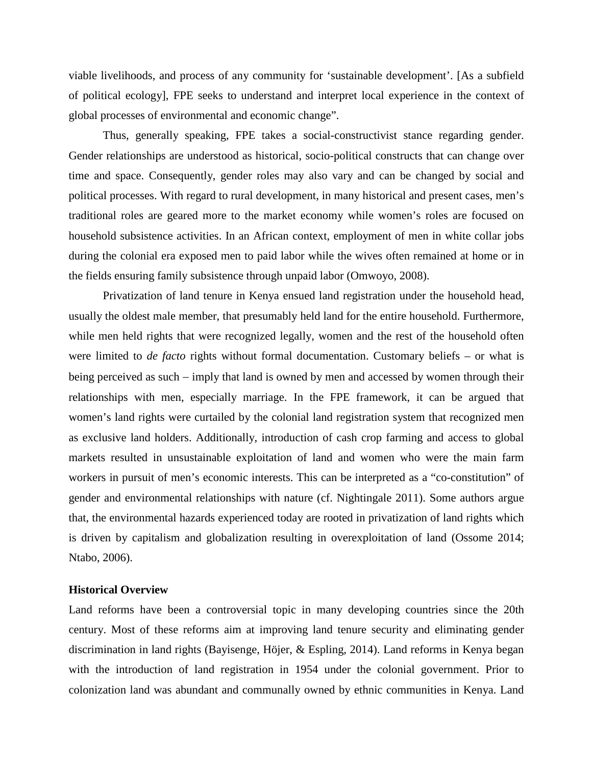viable livelihoods, and process of any community for 'sustainable development'. [As a subfield of political ecology], FPE seeks to understand and interpret local experience in the context of global processes of environmental and economic change".

Thus, generally speaking, FPE takes a social-constructivist stance regarding gender. Gender relationships are understood as historical, socio-political constructs that can change over time and space. Consequently, gender roles may also vary and can be changed by social and political processes. With regard to rural development, in many historical and present cases, men's traditional roles are geared more to the market economy while women's roles are focused on household subsistence activities. In an African context, employment of men in white collar jobs during the colonial era exposed men to paid labor while the wives often remained at home or in the fields ensuring family subsistence through unpaid labor (Omwoyo, 2008).

Privatization of land tenure in Kenya ensued land registration under the household head, usually the oldest male member, that presumably held land for the entire household. Furthermore, while men held rights that were recognized legally, women and the rest of the household often were limited to *de facto* rights without formal documentation. Customary beliefs – or what is being perceived as such − imply that land is owned by men and accessed by women through their relationships with men, especially marriage. In the FPE framework, it can be argued that women's land rights were curtailed by the colonial land registration system that recognized men as exclusive land holders. Additionally, introduction of cash crop farming and access to global markets resulted in unsustainable exploitation of land and women who were the main farm workers in pursuit of men's economic interests. This can be interpreted as a "co-constitution" of gender and environmental relationships with nature (cf. Nightingale 2011). Some authors argue that, the environmental hazards experienced today are rooted in privatization of land rights which is driven by capitalism and globalization resulting in overexploitation of land (Ossome 2014; Ntabo, 2006).

#### **Historical Overview**

Land reforms have been a controversial topic in many developing countries since the 20th century. Most of these reforms aim at improving land tenure security and eliminating gender discrimination in land rights (Bayisenge, Höjer, & Espling, 2014). Land reforms in Kenya began with the introduction of land registration in 1954 under the colonial government. Prior to colonization land was abundant and communally owned by ethnic communities in Kenya. Land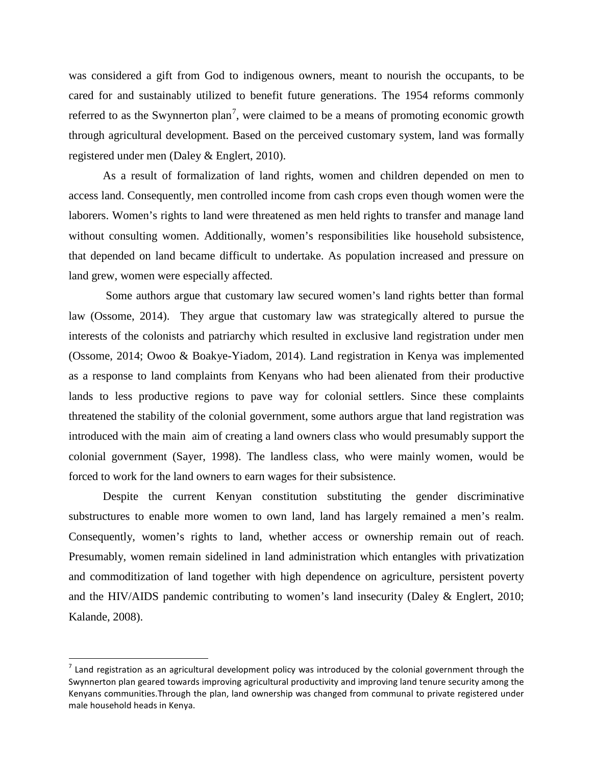was considered a gift from God to indigenous owners, meant to nourish the occupants, to be cared for and sustainably utilized to benefit future generations. The 1954 reforms commonly referred to as the Swynnerton plan<sup>[7](#page-7-0)</sup>, were claimed to be a means of promoting economic growth through agricultural development. Based on the perceived customary system, land was formally registered under men (Daley & Englert, 2010).

As a result of formalization of land rights, women and children depended on men to access land. Consequently, men controlled income from cash crops even though women were the laborers. Women's rights to land were threatened as men held rights to transfer and manage land without consulting women. Additionally, women's responsibilities like household subsistence, that depended on land became difficult to undertake. As population increased and pressure on land grew, women were especially affected.

Some authors argue that customary law secured women's land rights better than formal law (Ossome, 2014). They argue that customary law was strategically altered to pursue the interests of the colonists and patriarchy which resulted in exclusive land registration under men (Ossome, 2014; Owoo & Boakye-Yiadom, 2014). Land registration in Kenya was implemented as a response to land complaints from Kenyans who had been alienated from their productive lands to less productive regions to pave way for colonial settlers. Since these complaints threatened the stability of the colonial government, some authors argue that land registration was introduced with the main aim of creating a land owners class who would presumably support the colonial government (Sayer, 1998). The landless class, who were mainly women, would be forced to work for the land owners to earn wages for their subsistence.

Despite the current Kenyan constitution substituting the gender discriminative substructures to enable more women to own land, land has largely remained a men's realm. Consequently, women's rights to land, whether access or ownership remain out of reach. Presumably, women remain sidelined in land administration which entangles with privatization and commoditization of land together with high dependence on agriculture, persistent poverty and the HIV/AIDS pandemic contributing to women's land insecurity (Daley & Englert, 2010; Kalande, 2008).

<span id="page-7-0"></span> $<sup>7</sup>$  Land registration as an agricultural development policy was introduced by the colonial government through the</sup> Swynnerton plan geared towards improving agricultural productivity and improving land tenure security among the Kenyans communities.Through the plan, land ownership was changed from communal to private registered under male household heads in Kenya.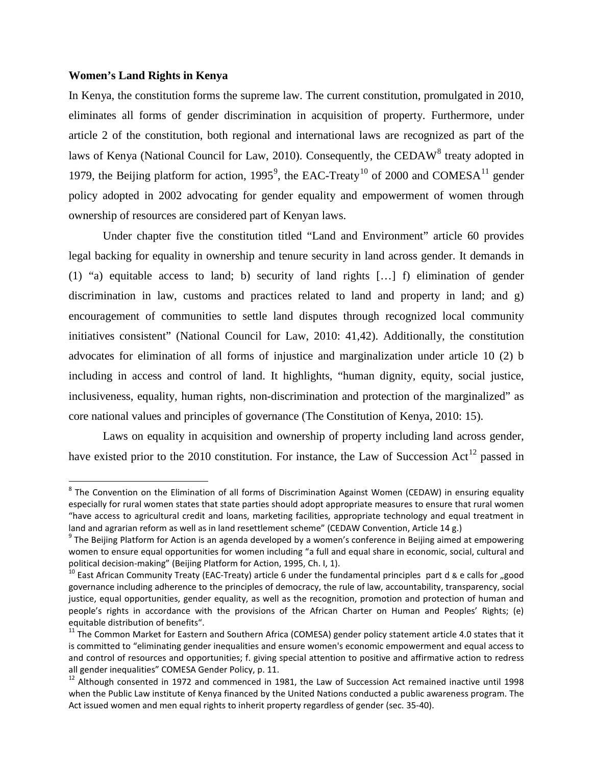#### **Women's Land Rights in Kenya**

In Kenya, the constitution forms the supreme law. The current constitution, promulgated in 2010, eliminates all forms of gender discrimination in acquisition of property. Furthermore, under article 2 of the constitution, both regional and international laws are recognized as part of the laws of Kenya (National Council for Law, 2010). Consequently, the CEDAW<sup>[8](#page-8-0)</sup> treaty adopted in 1[9](#page-8-1)79, the Beijing platform for action, 1995<sup>9</sup>, the EAC-Treaty<sup>[10](#page-8-2)</sup> of 2000 and COMESA<sup>[11](#page-8-3)</sup> gender policy adopted in 2002 advocating for gender equality and empowerment of women through ownership of resources are considered part of Kenyan laws.

Under chapter five the constitution titled "Land and Environment" article 60 provides legal backing for equality in ownership and tenure security in land across gender. It demands in (1) "a) equitable access to land; b) security of land rights […] f) elimination of gender discrimination in law, customs and practices related to land and property in land; and  $g$ ) encouragement of communities to settle land disputes through recognized local community initiatives consistent" (National Council for Law, 2010: 41,42). Additionally, the constitution advocates for elimination of all forms of injustice and marginalization under article 10 (2) b including in access and control of land. It highlights, "human dignity, equity, social justice, inclusiveness, equality, human rights, non-discrimination and protection of the marginalized" as core national values and principles of governance (The Constitution of Kenya, 2010: 15).

Laws on equality in acquisition and ownership of property including land across gender, have existed prior to the 2010 constitution. For instance, the Law of Succession Act<sup>[12](#page-8-4)</sup> passed in

<span id="page-8-0"></span><sup>&</sup>lt;sup>8</sup> The Convention on the Elimination of all forms of Discrimination Against Women (CEDAW) in ensuring equality especially for rural women states that state parties should adopt appropriate measures to ensure that rural women "have access to agricultural credit and loans, marketing facilities, appropriate technology and equal treatment in land and agrarian reform as well as in land resettlement scheme" (CEDAW Convention, Article 14 g.)<br><sup>9</sup> The Beijing Platform for Action is an agenda developed by a women's conference in Beijing aimed at empowering

<span id="page-8-1"></span>women to ensure equal opportunities for women including "a full and equal share in economic, social, cultural and political decision-making" (Beijing Platform for Action, 1995, Ch. I, 1).<br><sup>10</sup> East African Community Treaty (EAC-Treaty) article 6 under the fundamental principles part d & e calls for "good

<span id="page-8-2"></span>governance including adherence to the principles of democracy, the rule of law, accountability, transparency, social justice, equal opportunities, gender equality, as well as the recognition, promotion and protection of human and people's rights in accordance with the provisions of the African Charter on Human and Peoples' Rights; (e) equitable distribution of benefits".<br><sup>11</sup> The Common Market for Eastern and Southern Africa (COMESA) gender policy statement article 4.0 states that it

<span id="page-8-3"></span>is committed to "eliminating gender inequalities and ensure women's economic empowerment and equal access to and control of resources and opportunities; f. giving special attention to positive and affirmative action to redress all gender inequalities" COMESA Gender Policy, p. 11.<br><sup>12</sup> Although consented in 1972 and commenced in 1981, the Law of Succession Act remained inactive until 1998

<span id="page-8-4"></span>when the Public Law institute of Kenya financed by the United Nations conducted a public awareness program. The Act issued women and men equal rights to inherit property regardless of gender (sec. 35-40).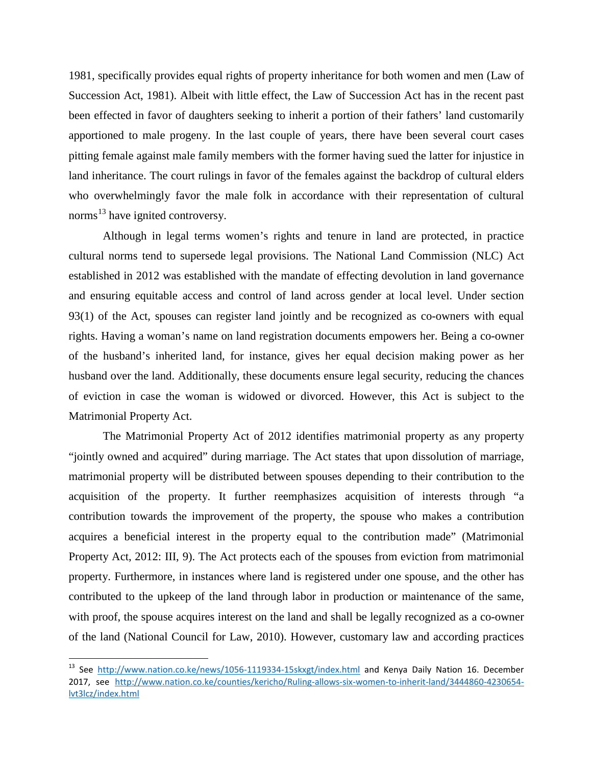1981, specifically provides equal rights of property inheritance for both women and men (Law of Succession Act, 1981). Albeit with little effect, the Law of Succession Act has in the recent past been effected in favor of daughters seeking to inherit a portion of their fathers' land customarily apportioned to male progeny. In the last couple of years, there have been several court cases pitting female against male family members with the former having sued the latter for injustice in land inheritance. The court rulings in favor of the females against the backdrop of cultural elders who overwhelmingly favor the male folk in accordance with their representation of cultural norms<sup>[13](#page-9-0)</sup> have ignited controversy.

Although in legal terms women's rights and tenure in land are protected, in practice cultural norms tend to supersede legal provisions. The National Land Commission (NLC) Act established in 2012 was established with the mandate of effecting devolution in land governance and ensuring equitable access and control of land across gender at local level. Under section 93(1) of the Act, spouses can register land jointly and be recognized as co-owners with equal rights. Having a woman's name on land registration documents empowers her. Being a co-owner of the husband's inherited land, for instance, gives her equal decision making power as her husband over the land. Additionally, these documents ensure legal security, reducing the chances of eviction in case the woman is widowed or divorced. However, this Act is subject to the Matrimonial Property Act.

The Matrimonial Property Act of 2012 identifies matrimonial property as any property "jointly owned and acquired" during marriage. The Act states that upon dissolution of marriage, matrimonial property will be distributed between spouses depending to their contribution to the acquisition of the property. It further reemphasizes acquisition of interests through "a contribution towards the improvement of the property, the spouse who makes a contribution acquires a beneficial interest in the property equal to the contribution made" (Matrimonial Property Act, 2012: III, 9). The Act protects each of the spouses from eviction from matrimonial property. Furthermore, in instances where land is registered under one spouse, and the other has contributed to the upkeep of the land through labor in production or maintenance of the same, with proof, the spouse acquires interest on the land and shall be legally recognized as a co-owner of the land (National Council for Law, 2010). However, customary law and according practices

<span id="page-9-0"></span> <sup>13</sup> See <http://www.nation.co.ke/news/1056-1119334-15skxgt/index.html> and Kenya Daily Nation 16. December 2017, see [http://www.nation.co.ke/counties/kericho/Ruling-allows-six-women-to-inherit-land/3444860-4230654](http://www.nation.co.ke/counties/kericho/Ruling-allows-six-women-to-inherit-land/3444860-4230654-lvt3lcz/index.html) [lvt3lcz/index.html](http://www.nation.co.ke/counties/kericho/Ruling-allows-six-women-to-inherit-land/3444860-4230654-lvt3lcz/index.html)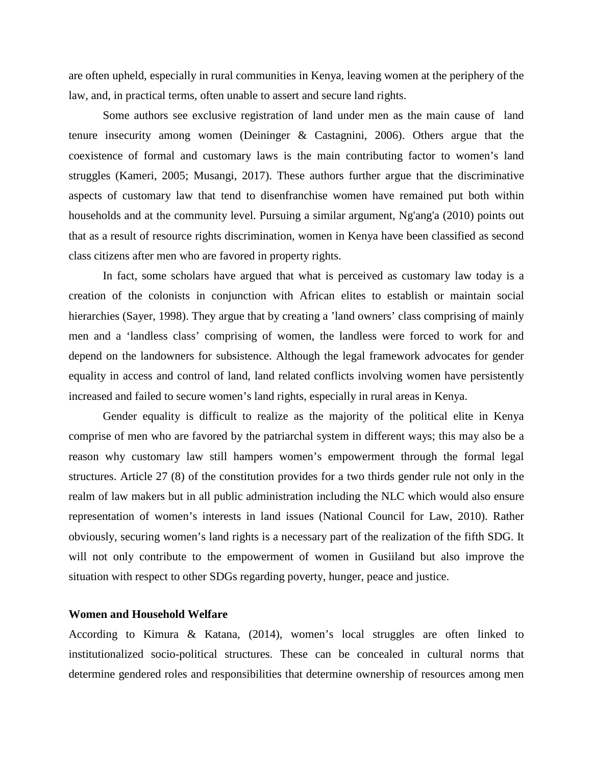are often upheld, especially in rural communities in Kenya, leaving women at the periphery of the law, and, in practical terms, often unable to assert and secure land rights.

Some authors see exclusive registration of land under men as the main cause of land tenure insecurity among women (Deininger & Castagnini, 2006). Others argue that the coexistence of formal and customary laws is the main contributing factor to women's land struggles (Kameri, 2005; Musangi, 2017). These authors further argue that the discriminative aspects of customary law that tend to disenfranchise women have remained put both within households and at the community level. Pursuing a similar argument, Ng'ang'a (2010) points out that as a result of resource rights discrimination, women in Kenya have been classified as second class citizens after men who are favored in property rights.

In fact, some scholars have argued that what is perceived as customary law today is a creation of the colonists in conjunction with African elites to establish or maintain social hierarchies (Sayer, 1998). They argue that by creating a 'land owners' class comprising of mainly men and a 'landless class' comprising of women, the landless were forced to work for and depend on the landowners for subsistence. Although the legal framework advocates for gender equality in access and control of land, land related conflicts involving women have persistently increased and failed to secure women's land rights, especially in rural areas in Kenya.

Gender equality is difficult to realize as the majority of the political elite in Kenya comprise of men who are favored by the patriarchal system in different ways; this may also be a reason why customary law still hampers women's empowerment through the formal legal structures. Article 27 (8) of the constitution provides for a two thirds gender rule not only in the realm of law makers but in all public administration including the NLC which would also ensure representation of women's interests in land issues (National Council for Law, 2010). Rather obviously, securing women's land rights is a necessary part of the realization of the fifth SDG. It will not only contribute to the empowerment of women in Gusiiland but also improve the situation with respect to other SDGs regarding poverty, hunger, peace and justice.

#### **Women and Household Welfare**

According to Kimura & Katana, (2014), women's local struggles are often linked to institutionalized socio-political structures. These can be concealed in cultural norms that determine gendered roles and responsibilities that determine ownership of resources among men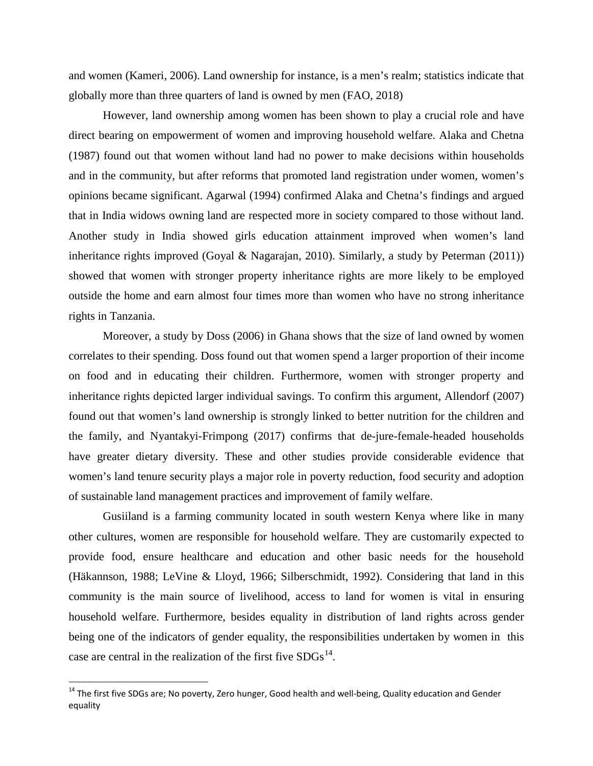and women (Kameri, 2006). Land ownership for instance, is a men's realm; statistics indicate that globally more than three quarters of land is owned by men (FAO, 2018)

However, land ownership among women has been shown to play a crucial role and have direct bearing on empowerment of women and improving household welfare. Alaka and Chetna (1987) found out that women without land had no power to make decisions within households and in the community, but after reforms that promoted land registration under women, women's opinions became significant. Agarwal (1994) confirmed Alaka and Chetna's findings and argued that in India widows owning land are respected more in society compared to those without land. Another study in India showed girls education attainment improved when women's land inheritance rights improved (Goyal & Nagarajan, 2010). Similarly, a study by Peterman (2011)) showed that women with stronger property inheritance rights are more likely to be employed outside the home and earn almost four times more than women who have no strong inheritance rights in Tanzania.

Moreover, a study by Doss (2006) in Ghana shows that the size of land owned by women correlates to their spending. Doss found out that women spend a larger proportion of their income on food and in educating their children. Furthermore, women with stronger property and inheritance rights depicted larger individual savings. To confirm this argument, Allendorf (2007) found out that women's land ownership is strongly linked to better nutrition for the children and the family, and Nyantakyi-Frimpong (2017) confirms that de-jure-female-headed households have greater dietary diversity. These and other studies provide considerable evidence that women's land tenure security plays a major role in poverty reduction, food security and adoption of sustainable land management practices and improvement of family welfare.

Gusiiland is a farming community located in south western Kenya where like in many other cultures, women are responsible for household welfare. They are customarily expected to provide food, ensure healthcare and education and other basic needs for the household (Häkannson, 1988; LeVine & Lloyd, 1966; Silberschmidt, 1992). Considering that land in this community is the main source of livelihood, access to land for women is vital in ensuring household welfare. Furthermore, besides equality in distribution of land rights across gender being one of the indicators of gender equality, the responsibilities undertaken by women in this case are central in the realization of the first five  $SDGs^{14}$ .

<span id="page-11-0"></span><sup>&</sup>lt;sup>14</sup> The first five SDGs are; No poverty, Zero hunger, Good health and well-being, Quality education and Gender equality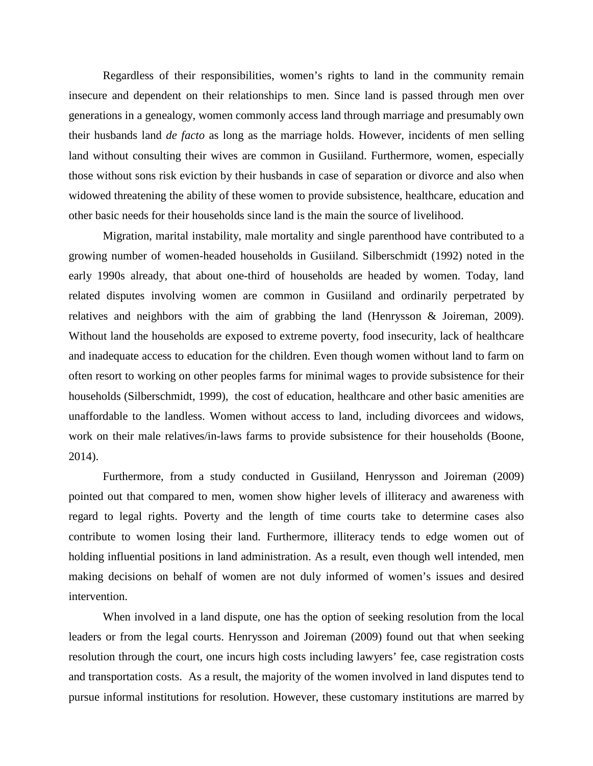Regardless of their responsibilities, women's rights to land in the community remain insecure and dependent on their relationships to men. Since land is passed through men over generations in a genealogy, women commonly access land through marriage and presumably own their husbands land *de facto* as long as the marriage holds. However, incidents of men selling land without consulting their wives are common in Gusiiland. Furthermore, women, especially those without sons risk eviction by their husbands in case of separation or divorce and also when widowed threatening the ability of these women to provide subsistence, healthcare, education and other basic needs for their households since land is the main the source of livelihood.

Migration, marital instability, male mortality and single parenthood have contributed to a growing number of women-headed households in Gusiiland. Silberschmidt (1992) noted in the early 1990s already, that about one-third of households are headed by women. Today, land related disputes involving women are common in Gusiiland and ordinarily perpetrated by relatives and neighbors with the aim of grabbing the land (Henrysson & Joireman, 2009). Without land the households are exposed to extreme poverty, food insecurity, lack of healthcare and inadequate access to education for the children. Even though women without land to farm on often resort to working on other peoples farms for minimal wages to provide subsistence for their households (Silberschmidt, 1999), the cost of education, healthcare and other basic amenities are unaffordable to the landless. Women without access to land, including divorcees and widows, work on their male relatives/in-laws farms to provide subsistence for their households (Boone, 2014).

Furthermore, from a study conducted in Gusiiland, Henrysson and Joireman (2009) pointed out that compared to men, women show higher levels of illiteracy and awareness with regard to legal rights. Poverty and the length of time courts take to determine cases also contribute to women losing their land. Furthermore, illiteracy tends to edge women out of holding influential positions in land administration. As a result, even though well intended, men making decisions on behalf of women are not duly informed of women's issues and desired intervention.

When involved in a land dispute, one has the option of seeking resolution from the local leaders or from the legal courts. Henrysson and Joireman (2009) found out that when seeking resolution through the court, one incurs high costs including lawyers' fee, case registration costs and transportation costs. As a result, the majority of the women involved in land disputes tend to pursue informal institutions for resolution. However, these customary institutions are marred by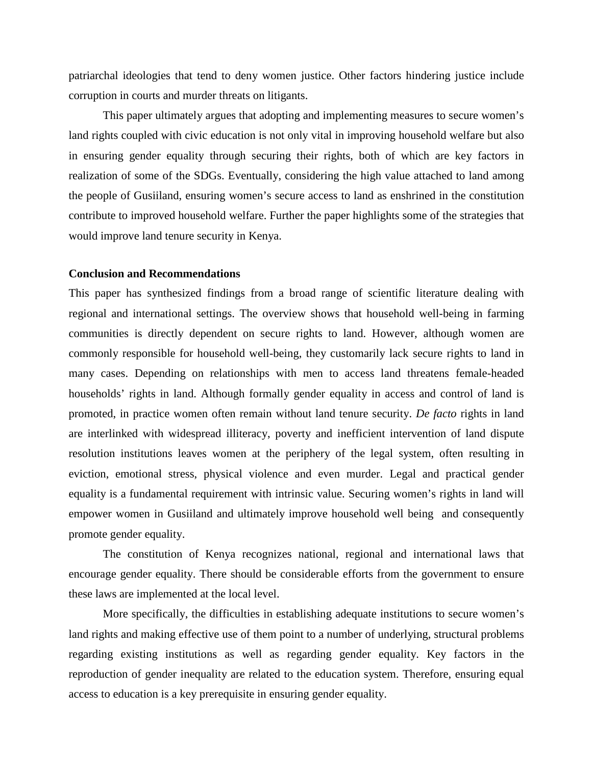patriarchal ideologies that tend to deny women justice. Other factors hindering justice include corruption in courts and murder threats on litigants.

This paper ultimately argues that adopting and implementing measures to secure women's land rights coupled with civic education is not only vital in improving household welfare but also in ensuring gender equality through securing their rights, both of which are key factors in realization of some of the SDGs. Eventually, considering the high value attached to land among the people of Gusiiland, ensuring women's secure access to land as enshrined in the constitution contribute to improved household welfare. Further the paper highlights some of the strategies that would improve land tenure security in Kenya.

#### **Conclusion and Recommendations**

This paper has synthesized findings from a broad range of scientific literature dealing with regional and international settings. The overview shows that household well-being in farming communities is directly dependent on secure rights to land. However, although women are commonly responsible for household well-being, they customarily lack secure rights to land in many cases. Depending on relationships with men to access land threatens female-headed households' rights in land. Although formally gender equality in access and control of land is promoted, in practice women often remain without land tenure security. *De facto* rights in land are interlinked with widespread illiteracy, poverty and inefficient intervention of land dispute resolution institutions leaves women at the periphery of the legal system, often resulting in eviction, emotional stress, physical violence and even murder. Legal and practical gender equality is a fundamental requirement with intrinsic value. Securing women's rights in land will empower women in Gusiiland and ultimately improve household well being and consequently promote gender equality.

The constitution of Kenya recognizes national, regional and international laws that encourage gender equality. There should be considerable efforts from the government to ensure these laws are implemented at the local level.

More specifically, the difficulties in establishing adequate institutions to secure women's land rights and making effective use of them point to a number of underlying, structural problems regarding existing institutions as well as regarding gender equality. Key factors in the reproduction of gender inequality are related to the education system. Therefore, ensuring equal access to education is a key prerequisite in ensuring gender equality.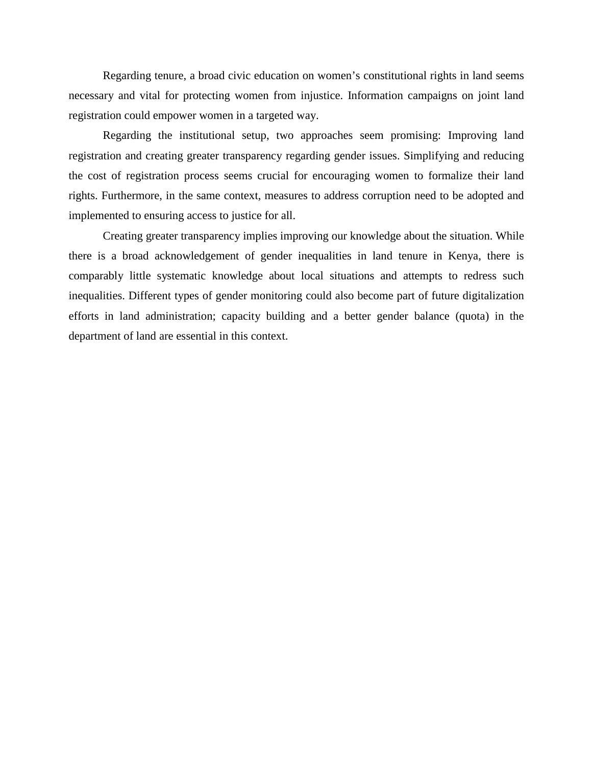Regarding tenure, a broad civic education on women's constitutional rights in land seems necessary and vital for protecting women from injustice. Information campaigns on joint land registration could empower women in a targeted way.

Regarding the institutional setup, two approaches seem promising: Improving land registration and creating greater transparency regarding gender issues. Simplifying and reducing the cost of registration process seems crucial for encouraging women to formalize their land rights. Furthermore, in the same context, measures to address corruption need to be adopted and implemented to ensuring access to justice for all.

Creating greater transparency implies improving our knowledge about the situation. While there is a broad acknowledgement of gender inequalities in land tenure in Kenya, there is comparably little systematic knowledge about local situations and attempts to redress such inequalities. Different types of gender monitoring could also become part of future digitalization efforts in land administration; capacity building and a better gender balance (quota) in the department of land are essential in this context.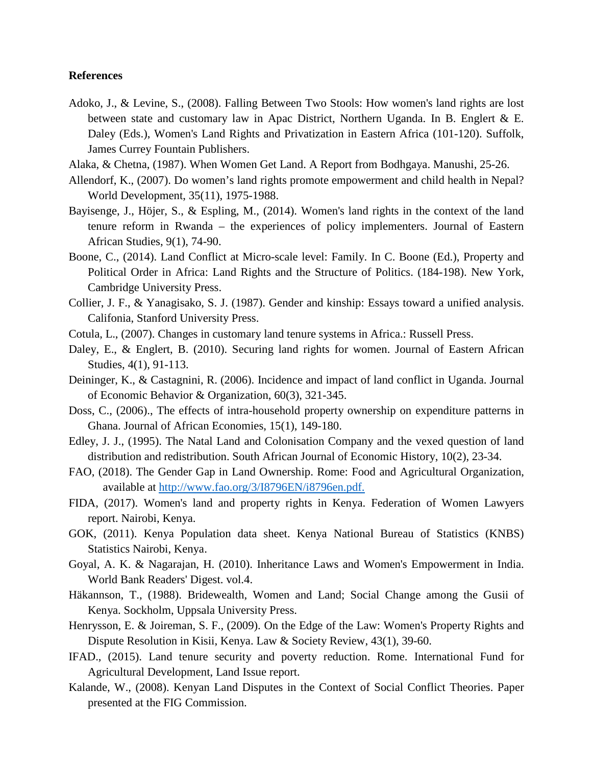#### **References**

- Adoko, J., & Levine, S., (2008). Falling Between Two Stools: How women's land rights are lost between state and customary law in Apac District, Northern Uganda. In B. Englert & E. Daley (Eds.), Women's Land Rights and Privatization in Eastern Africa (101-120). Suffolk, James Currey Fountain Publishers.
- Alaka, & Chetna, (1987). When Women Get Land. A Report from Bodhgaya. Manushi, 25-26.
- Allendorf, K., (2007). Do women's land rights promote empowerment and child health in Nepal? World Development, 35(11), 1975-1988.
- Bayisenge, J., Höjer, S., & Espling, M., (2014). Women's land rights in the context of the land tenure reform in Rwanda – the experiences of policy implementers. Journal of Eastern African Studies, 9(1), 74-90.
- Boone, C., (2014). Land Conflict at Micro-scale level: Family. In C. Boone (Ed.), Property and Political Order in Africa: Land Rights and the Structure of Politics. (184-198). New York, Cambridge University Press.
- Collier, J. F., & Yanagisako, S. J. (1987). Gender and kinship: Essays toward a unified analysis. Califonia, Stanford University Press.
- Cotula, L., (2007). Changes in customary land tenure systems in Africa.: Russell Press.
- Daley, E., & Englert, B. (2010). Securing land rights for women. Journal of Eastern African Studies, 4(1), 91-113.
- Deininger, K., & Castagnini, R. (2006). Incidence and impact of land conflict in Uganda. Journal of Economic Behavior & Organization, 60(3), 321-345.
- Doss, C., (2006)., The effects of intra-household property ownership on expenditure patterns in Ghana. Journal of African Economies, 15(1), 149-180.
- Edley, J. J., (1995). The Natal Land and Colonisation Company and the vexed question of land distribution and redistribution. South African Journal of Economic History, 10(2), 23-34.
- FAO, (2018). The Gender Gap in Land Ownership. Rome: Food and Agricultural Organization, available at [http://www.fao.org/3/I8796EN/i8796en.pdf.](http://www.fao.org/3/I8796EN/i8796en.pdf)
- FIDA, (2017). Women's land and property rights in Kenya. Federation of Women Lawyers report. Nairobi, Kenya.
- GOK, (2011). Kenya Population data sheet. Kenya National Bureau of Statistics (KNBS) Statistics Nairobi, Kenya.
- Goyal, A. K. & Nagarajan, H. (2010). Inheritance Laws and Women's Empowerment in India. World Bank Readers' Digest. vol.4.
- Häkannson, T., (1988). Bridewealth, Women and Land; Social Change among the Gusii of Kenya. Sockholm, Uppsala University Press.
- Henrysson, E. & Joireman, S. F., (2009). On the Edge of the Law: Women's Property Rights and Dispute Resolution in Kisii, Kenya. Law & Society Review, 43(1), 39-60.
- IFAD., (2015). Land tenure security and poverty reduction. Rome. International Fund for Agricultural Development, Land Issue report.
- Kalande, W., (2008). Kenyan Land Disputes in the Context of Social Conflict Theories. Paper presented at the FIG Commission.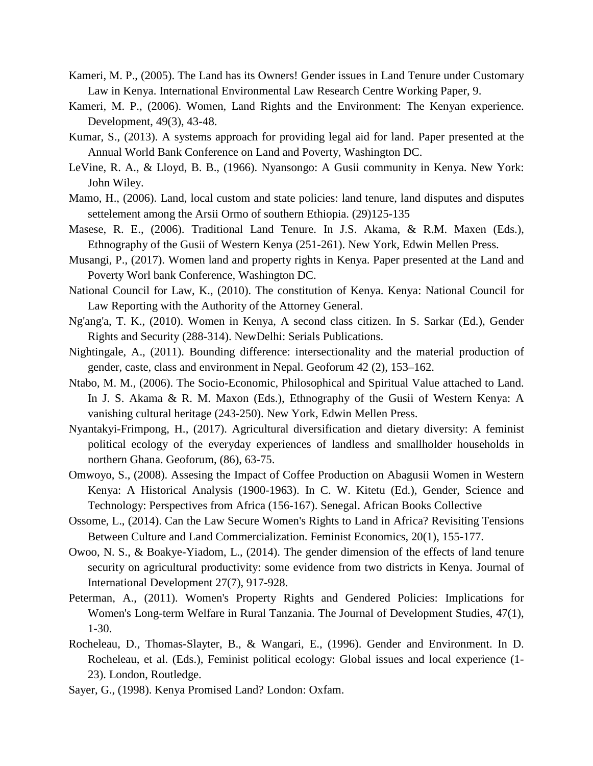- Kameri, M. P., (2005). The Land has its Owners! Gender issues in Land Tenure under Customary Law in Kenya. International Environmental Law Research Centre Working Paper, 9.
- Kameri, M. P., (2006). Women, Land Rights and the Environment: The Kenyan experience. Development, 49(3), 43-48.
- Kumar, S., (2013). A systems approach for providing legal aid for land. Paper presented at the Annual World Bank Conference on Land and Poverty, Washington DC.
- LeVine, R. A., & Lloyd, B. B., (1966). Nyansongo: A Gusii community in Kenya. New York: John Wiley.
- Mamo, H., (2006). Land, local custom and state policies: land tenure, land disputes and disputes settelement among the Arsii Ormo of southern Ethiopia. (29)125-135
- Masese, R. E., (2006). Traditional Land Tenure. In J.S. Akama, & R.M. Maxen (Eds.), Ethnography of the Gusii of Western Kenya (251-261). New York, Edwin Mellen Press.
- Musangi, P., (2017). Women land and property rights in Kenya. Paper presented at the Land and Poverty Worl bank Conference, Washington DC.
- National Council for Law, K., (2010). The constitution of Kenya. Kenya: National Council for Law Reporting with the Authority of the Attorney General.
- Ng'ang'a, T. K., (2010). Women in Kenya, A second class citizen. In S. Sarkar (Ed.), Gender Rights and Security (288-314). NewDelhi: Serials Publications.
- Nightingale, A., (2011). Bounding difference: intersectionality and the material production of gender, caste, class and environment in Nepal. Geoforum 42 (2), 153–162.
- Ntabo, M. M., (2006). The Socio-Economic, Philosophical and Spiritual Value attached to Land. In J. S. Akama & R. M. Maxon (Eds.), Ethnography of the Gusii of Western Kenya: A vanishing cultural heritage (243-250). New York, Edwin Mellen Press.
- Nyantakyi-Frimpong, H., (2017). Agricultural diversification and dietary diversity: A feminist political ecology of the everyday experiences of landless and smallholder households in northern Ghana. Geoforum, (86), 63-75.
- Omwoyo, S., (2008). Assesing the Impact of Coffee Production on Abagusii Women in Western Kenya: A Historical Analysis (1900-1963). In C. W. Kitetu (Ed.), Gender, Science and Technology: Perspectives from Africa (156-167). Senegal. African Books Collective
- Ossome, L., (2014). Can the Law Secure Women's Rights to Land in Africa? Revisiting Tensions Between Culture and Land Commercialization. Feminist Economics, 20(1), 155-177.
- Owoo, N. S., & Boakye-Yiadom, L., (2014). The gender dimension of the effects of land tenure security on agricultural productivity: some evidence from two districts in Kenya. Journal of International Development 27(7), 917-928.
- Peterman, A., (2011). Women's Property Rights and Gendered Policies: Implications for Women's Long-term Welfare in Rural Tanzania. The Journal of Development Studies, 47(1), 1-30.
- Rocheleau, D., Thomas-Slayter, B., & Wangari, E., (1996). Gender and Environment. In D. Rocheleau, et al. (Eds.), Feminist political ecology: Global issues and local experience (1- 23). London, Routledge.
- Sayer, G., (1998). Kenya Promised Land? London: Oxfam.